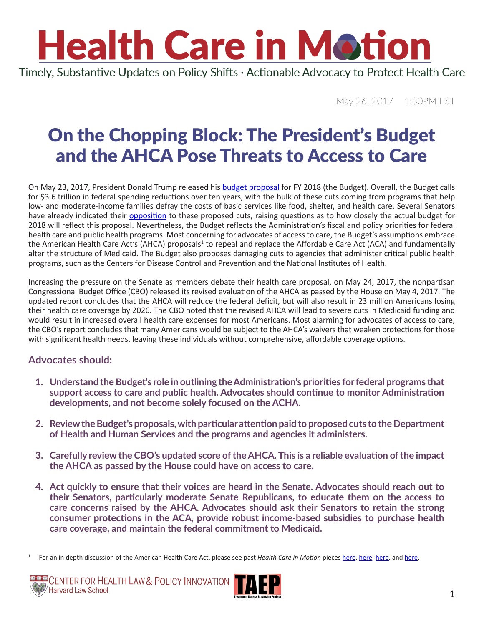Timely, Substantive Updates on Policy Shifts · Actionable Advocacy to Protect Health Care

May 26, 2017 1:30PM EST

### On the Chopping Block: The President's Budget and the AHCA Pose Threats to Access to Care

On May 23, 2017, President Donald Trump released his [budget proposal](https://www.whitehouse.gov/omb/budget) for FY 2018 (the Budget). Overall, the Budget calls for \$3.6 trillion in federal spending reductions over ten years, with the bulk of these cuts coming from programs that help low- and moderate-income families defray the costs of basic services like food, shelter, and health care. Several Senators have already indicated their *opposition* to these proposed cuts, raising questions as to how closely the actual budget for 2018 will reflect this proposal. Nevertheless, the Budget reflects the Administration's fiscal and policy priorities for federal health care and public health programs. Most concerning for advocates of access to care, the Budget's assumptions embrace the American Health Care Act's (AHCA) proposals<sup>1</sup> to repeal and replace the Affordable Care Act (ACA) and fundamentally alter the structure of Medicaid. The Budget also proposes damaging cuts to agencies that administer critical public health programs, such as the Centers for Disease Control and Prevention and the National Institutes of Health.

Increasing the pressure on the Senate as members debate their health care proposal, on May 24, 2017, the nonpartisan Congressional Budget Office (CBO) released its revised evaluation of the AHCA as passed by the House on May 4, 2017. The updated report concludes that the AHCA will reduce the federal deficit, but will also result in 23 million Americans losing their health care coverage by 2026. The CBO noted that the revised AHCA will lead to severe cuts in Medicaid funding and would result in increased overall health care expenses for most Americans. Most alarming for advocates of access to care, the CBO's report concludes that many Americans would be subject to the AHCA's waivers that weaken protections for those with significant health needs, leaving these individuals without comprehensive, affordable coverage options.

### **Advocates should:**

- **1. Understand the Budget's role in outlining the Administration's priorities for federal programs that support access to care and public health. Advocates should continue to monitor Administration developments, and not become solely focused on the ACHA.**
- **2. Review the Budget's proposals, with particular attention paid to proposed cuts to the Department of Health and Human Services and the programs and agencies it administers.**
- **3. Carefully review the CBO's updated score of the AHCA. This is a reliable evaluation of the impact the AHCA as passed by the House could have on access to care.**
- **4. Act quickly to ensure that their voices are heard in the Senate. Advocates should reach out to their Senators, particularly moderate Senate Republicans, to educate them on the access to care concerns raised by the AHCA. Advocates should ask their Senators to retain the strong consumer protections in the ACA, provide robust income-based subsidies to purchase health care coverage, and maintain the federal commitment to Medicaid.**

<sup>1</sup> For an in depth discussion of the American Health Care Act, please see past *Health Care in Motion* pieces [here,](http://www.chlpi.org/wp-content/uploads/2013/12/HCIM_05_05_2017.pdf) [here,](http://www.chlpi.org/wp-content/uploads/2013/12/HCIM_04_28_2017.pdf) [here,](http://www.chlpi.org/wp-content/uploads/2013/12/Health-Care-in-Motion_03_14_2017.pdf) and [here.](http://www.chlpi.org/wp-content/uploads/2013/12/Health-Care-in-Motion_03_07_2017.pdf)



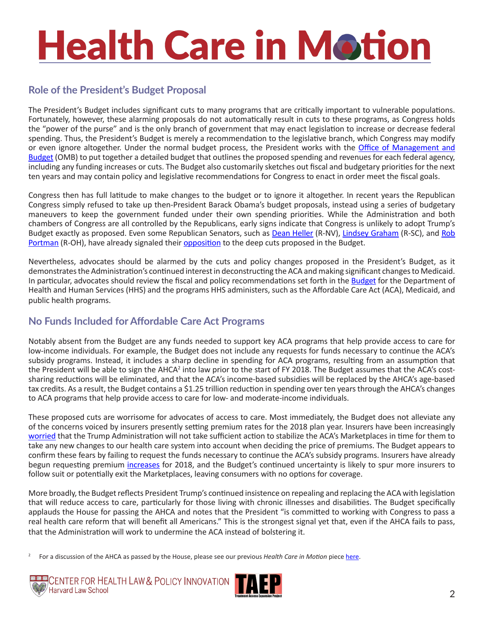### **Role of the President's Budget Proposal**

The President's Budget includes significant cuts to many programs that are critically important to vulnerable populations. Fortunately, however, these alarming proposals do not automatically result in cuts to these programs, as Congress holds the "power of the purse" and is the only branch of government that may enact legislation to increase or decrease federal spending. Thus, the President's Budget is merely a recommendation to the legislative branch, which Congress may modify or even ignore altogether. Under the normal budget process, the President works with the [Office of Management and](https://www.whitehouse.gov/omb/budget) [Budget](https://www.whitehouse.gov/omb/budget) (OMB) to put together a detailed budget that outlines the proposed spending and revenues for each federal agency, including any funding increases or cuts. The Budget also customarily sketches out fiscal and budgetary priorities for the next ten years and may contain policy and legislative recommendations for Congress to enact in order meet the fiscal goals.

Congress then has full latitude to make changes to the budget or to ignore it altogether. In recent years the Republican Congress simply refused to take up then-President Barack Obama's budget proposals, instead using a series of budgetary maneuvers to keep the government funded under their own spending priorities. While the Administration and both chambers of Congress are all controlled by the Republicans, early signs indicate that Congress is unlikely to adopt Trump's Budget exactly as proposed. Even some Republican Senators, such as [Dean Heller](https://www.heller.senate.gov/public/index.cfm/offices) (R-NV), [Lindsey Graham](https://www.lgraham.senate.gov/public/index.cfm/contact) (R-SC), and [Rob](https://www.portman.senate.gov/public/index.cfm/contact-form) [Portman](https://www.portman.senate.gov/public/index.cfm/contact-form) (R-OH), have already signaled their [opposition](http://thehill.com/policy/finance/334757-gop-senators-knock-trumps-budget-proposal) to the deep cuts proposed in the Budget.

Nevertheless, advocates should be alarmed by the cuts and policy changes proposed in the President's Budget, as it demonstrates the Administration's continued interest in deconstructing the ACA and making significant changes to Medicaid. In particular, advocates should review the fiscal and policy recommendations set forth in the **Budget** for the Department of Health and Human Services (HHS) and the programs HHS administers, such as the Affordable Care Act (ACA), Medicaid, and public health programs.

### **No Funds Included for Affordable Care Act Programs**

Notably absent from the Budget are any funds needed to support key ACA programs that help provide access to care for low-income individuals. For example, the Budget does not include any requests for funds necessary to continue the ACA's subsidy programs. Instead, it includes a sharp decline in spending for ACA programs, resulting from an assumption that the President will be able to sign the AHCA<sup>2</sup> into law prior to the start of FY 2018. The Budget assumes that the ACA's costsharing reductions will be eliminated, and that the ACA's income-based subsidies will be replaced by the AHCA's age-based tax credits. As a result, the Budget contains a \$1.25 trillion reduction in spending over ten years through the AHCA's changes to ACA programs that help provide access to care for low- and moderate-income individuals.

These proposed cuts are worrisome for advocates of access to care. Most immediately, the Budget does not alleviate any of the concerns voiced by insurers presently setting premium rates for the 2018 plan year. Insurers have been increasingly [worried](http://www.reuters.com/article/us-usa-healthcare-companies-idUSKBN1802UB) that the Trump Administration will not take sufficient action to stabilize the ACA's Marketplaces in time for them to take any new changes to our health care system into account when deciding the price of premiums. The Budget appears to confirm these fears by failing to request the funds necessary to continue the ACA's subsidy programs. Insurers have already begun requesting premium [increases](https://www.vox.com/policy-and-politics/2017/5/17/15655532/voxcare-insurers-rate-hikes) for 2018, and the Budget's continued uncertainty is likely to spur more insurers to follow suit or potentially exit the Marketplaces, leaving consumers with no options for coverage.

More broadly, the Budget reflects President Trump's continued insistence on repealing and replacing the ACA with legislation that will reduce access to care, particularly for those living with chronic illnesses and disabilities. The Budget specifically applauds the House for passing the AHCA and notes that the President "is committed to working with Congress to pass a real health care reform that will benefit all Americans." This is the strongest signal yet that, even if the AHCA fails to pass, that the Administration will work to undermine the ACA instead of bolstering it.

<sup>2</sup> For a discussion of the AHCA as passed by the House, please see our previous *Health Care in Motion* piece [here](http://www.chlpi.org/wp-content/uploads/2013/12/HCIM_05_05_2017.pdf).



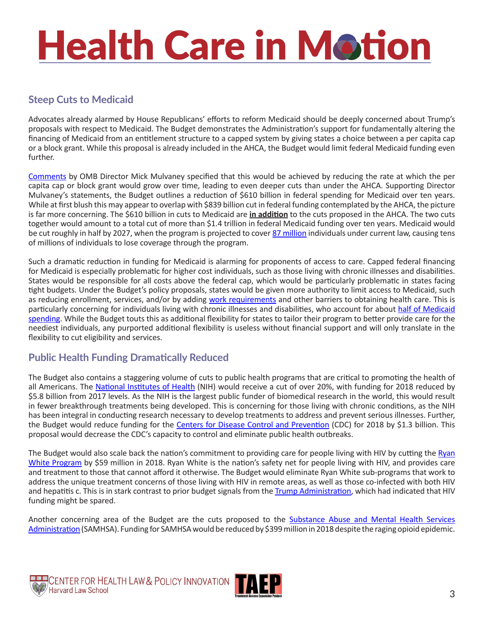### **Steep Cuts to Medicaid**

Advocates already alarmed by House Republicans' efforts to reform Medicaid should be deeply concerned about Trump's proposals with respect to Medicaid. The Budget demonstrates the Administration's support for fundamentally altering the financing of Medicaid from an entitlement structure to a capped system by giving states a choice between a per capita cap or a block grant. While this proposal is already included in the AHCA, the Budget would limit federal Medicaid funding even further.

[Comments](http://www.businessinsider.com/trump-white-house-2018-fiscal-year-budget-mick-mulvaney-call-2017-5) by OMB Director Mick Mulvaney specified that this would be achieved by reducing the rate at which the per capita cap or block grant would grow over time, leading to even deeper cuts than under the AHCA. Supporting Director Mulvaney's statements, the Budget outlines a reduction of \$610 billion in federal spending for Medicaid over ten years. While at first blush this may appear to overlap with \$839 billion cut in federal funding contemplated by the AHCA, the picture is far more concerning. The \$610 billion in cuts to Medicaid are **in addition** to the cuts proposed in the AHCA. The two cuts together would amount to a total cut of more than \$1.4 trillion in federal Medicaid funding over ten years. Medicaid would be cut roughly in half by 2027, when the program is projected to cover [87 million](https://www.americanprogress.org/issues/economy/news/2017/05/23/432851/trump-budgets-attack-people-disabilities/) individuals under current law, causing tens of millions of individuals to lose coverage through the program.

Such a dramatic reduction in funding for Medicaid is alarming for proponents of access to care. Capped federal financing for Medicaid is especially problematic for higher cost individuals, such as those living with chronic illnesses and disabilities. States would be responsible for all costs above the federal cap, which would be particularly problematic in states facing tight budgets. Under the Budget's policy proposals, states would be given more authority to limit access to Medicaid, such as reducing enrollment, services, and/or by adding [work requirements](http://www.cbpp.org/blog/a-medicaid-work-requirement-would-block-poor-families-from-care) and other barriers to obtaining health care. This is particularly concerning for individuals living with chronic illnesses and disabilities, who account for about [half of Medicaid](http://www.cbpp.org/research/health/house-republican-proposals-to-radically-overhaul-medicaid-would-shift-costs-risks-to)  [spending](http://www.cbpp.org/research/health/house-republican-proposals-to-radically-overhaul-medicaid-would-shift-costs-risks-to). While the Budget touts this as additional flexibility for states to tailor their program to better provide care for the neediest individuals, any purported additional flexibility is useless without financial support and will only translate in the flexibility to cut eligibility and services.

#### **Public Health Funding Dramatically Reduced**

The Budget also contains a staggering volume of cuts to public health programs that are critical to promoting the health of all Americans. The [National Institutes of Health](https://www.nih.gov/) (NIH) would receive a cut of over 20%, with funding for 2018 reduced by \$5.8 billion from 2017 levels. As the NIH is the largest public funder of biomedical research in the world, this would result in fewer breakthrough treatments being developed. This is concerning for those living with chronic conditions, as the NIH has been integral in conducting research necessary to develop treatments to address and prevent serious illnesses. Further, the Budget would reduce funding for the [Centers for Disease Control and Prevention](https://www.cdc.gov/) (CDC) for 2018 by \$1.3 billion. This proposal would decrease the CDC's capacity to control and eliminate public health outbreaks.

The Budget would also scale back the nation's commitment to providing care for people living with HIV by cutting the [Ryan](https://hab.hrsa.gov/about-ryan-white-hivaids-program/about-ryan-white-hivaids-program)  [White Program](https://hab.hrsa.gov/about-ryan-white-hivaids-program/about-ryan-white-hivaids-program) by \$59 million in 2018. Ryan White is the nation's safety net for people living with HIV, and provides care and treatment to those that cannot afford it otherwise. The Budget would eliminate Ryan White sub-programs that work to address the unique treatment concerns of those living with HIV in remote areas, as well as those co-infected with both HIV and hepatitis c. This is in stark contrast to prior budget signals from the [Trump Administration](http://www.nbcnews.com/feature/nbc-out/amid-dramatic-cuts-hiv-aids-funding-spared-new-trump-budget-n734711), which had indicated that HIV funding might be spared.

Another concerning area of the Budget are the cuts proposed to the [Substance Abuse and Mental Health Services](https://www.samhsa.gov/)  [Administration](https://www.samhsa.gov/) (SAMHSA). Funding for SAMHSA would be reduced by \$399 million in 2018 despite the raging opioid epidemic.

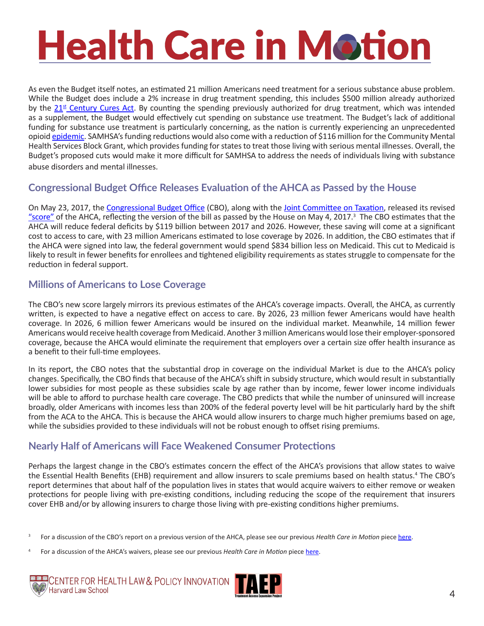As even the Budget itself notes, an estimated 21 million Americans need treatment for a serious substance abuse problem. While the Budget does include a 2% increase in drug treatment spending, this includes \$500 million already authorized by the  $21<sup>st</sup>$  [Century Cures Act](https://www.washingtonpost.com/news/powerpost/wp/2016/12/07/congress-passes-21st-century-cures-act-boosting-research-and-easing-drug-approvals/?utm_term=.d2bc111db173). By counting the spending previously authorized for drug treatment, which was intended as a supplement, the Budget would effectively cut spending on substance use treatment. The Budget's lack of additional funding for substance use treatment is particularly concerning, as the nation is currently experiencing an unprecedented opioid [epidemic](https://www.hhs.gov/sites/default/files/Factsheet-opioids-061516.pdf). SAMHSA's funding reductions would also come with a reduction of \$116 million for the Community Mental Health Services Block Grant, which provides funding for states to treat those living with serious mental illnesses. Overall, the Budget's proposed cuts would make it more difficult for SAMHSA to address the needs of individuals living with substance abuse disorders and mental illnesses.

#### **Congressional Budget Office Releases Evaluation of the AHCA as Passed by the House**

On May 23, 2017, the [Congressional Budget Office](https://www.cbo.gov/sites/default/files/115th-congress-2017-2018/costestimate/americanhealthcareact.pdf) (CBO), along with the [Joint Committee on Taxation](https://www.jct.gov), released its revised ["score"](https://www.cbo.gov/publication/52752) of the AHCA, reflecting the version of the bill as passed by the House on May 4, 2017.<sup>3</sup> The CBO estimates that the AHCA will reduce federal deficits by \$119 billion between 2017 and 2026. However, these saving will come at a significant cost to access to care, with 23 million Americans estimated to lose coverage by 2026. In addition, the CBO estimates that if the AHCA were signed into law, the federal government would spend \$834 billion less on Medicaid. This cut to Medicaid is likely to result in fewer benefits for enrollees and tightened eligibility requirements as states struggle to compensate for the reduction in federal support.

#### **Millions of Americans to Lose Coverage**

The CBO's new score largely mirrors its previous estimates of the AHCA's coverage impacts. Overall, the AHCA, as currently written, is expected to have a negative effect on access to care. By 2026, 23 million fewer Americans would have health coverage. In 2026, 6 million fewer Americans would be insured on the individual market. Meanwhile, 14 million fewer Americans would receive health coverage from Medicaid. Another 3 million Americans would lose their employer-sponsored coverage, because the AHCA would eliminate the requirement that employers over a certain size offer health insurance as a benefit to their full-time employees.

In its report, the CBO notes that the substantial drop in coverage on the individual Market is due to the AHCA's policy changes. Specifically, the CBO finds that because of the AHCA's shift in subsidy structure, which would result in substantially lower subsidies for most people as these subsidies scale by age rather than by income, fewer lower income individuals will be able to afford to purchase health care coverage. The CBO predicts that while the number of uninsured will increase broadly, older Americans with incomes less than 200% of the federal poverty level will be hit particularly hard by the shift from the ACA to the AHCA. This is because the AHCA would allow insurers to charge much higher premiums based on age, while the subsidies provided to these individuals will not be robust enough to offset rising premiums.

#### **Nearly Half of Americans will Face Weakened Consumer Protections**

Perhaps the largest change in the CBO's estimates concern the effect of the AHCA's provisions that allow states to waive the Essential Health Benefits (EHB) requirement and allow insurers to scale premiums based on health status.<sup>4</sup> The CBO's report determines that about half of the population lives in states that would acquire waivers to either remove or weaken protections for people living with pre-existing conditions, including reducing the scope of the requirement that insurers cover EHB and/or by allowing insurers to charge those living with pre-existing conditions higher premiums.

<sup>4</sup> For a discussion of the AHCA's waivers, please see our previous *Health Care in Motion* piece [here.](http://www.chlpi.org/wp-content/uploads/2013/12/HCIM_04_28_2017.pdf)





<sup>3</sup> For a discussion of the CBO's report on a previous version of the AHCA, please see our previous *Health Care in Motion* piece [here.](http://www.chlpi.org/wp-content/uploads/2013/12/Health-Care-in-Motion_03_14_2017.pdf)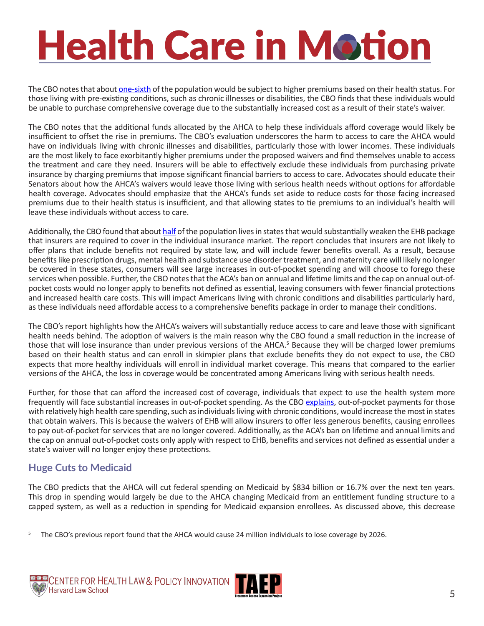The CBO notes that about [one-sixth](https://www.cbo.gov/system/files/115th-congress-2017-2018/costestimate/hr1628aspassed.pdf#page=7) of the population would be subject to higher premiums based on their health status. For those living with pre-existing conditions, such as chronic illnesses or disabilities, the CBO finds that these individuals would be unable to purchase comprehensive coverage due to the substantially increased cost as a result of their state's waiver.

The CBO notes that the additional funds allocated by the AHCA to help these individuals afford coverage would likely be insufficient to offset the rise in premiums. The CBO's evaluation underscores the harm to access to care the AHCA would have on individuals living with chronic illnesses and disabilities, particularly those with lower incomes. These individuals are the most likely to face exorbitantly higher premiums under the proposed waivers and find themselves unable to access the treatment and care they need. Insurers will be able to effectively exclude these individuals from purchasing private insurance by charging premiums that impose significant financial barriers to access to care. Advocates should educate their Senators about how the AHCA's waivers would leave those living with serious health needs without options for affordable health coverage. Advocates should emphasize that the AHCA's funds set aside to reduce costs for those facing increased premiums due to their health status is insufficient, and that allowing states to tie premiums to an individual's health will leave these individuals without access to care.

Additionally, the CBO found that about [half](https://www.cbo.gov/system/files/115th-congress-2017-2018/costestimate/hr1628aspassed.pdf#page=6) of the population lives in states that would substantially weaken the EHB package that insurers are required to cover in the individual insurance market. The report concludes that insurers are not likely to offer plans that include benefits not required by state law, and will include fewer benefits overall. As a result, because benefits like prescription drugs, mental health and substance use disorder treatment, and maternity care will likely no longer be covered in these states, consumers will see large increases in out-of-pocket spending and will choose to forego these services when possible. Further, the CBO notes that the ACA's ban on annual and lifetime limits and the cap on annual out-ofpocket costs would no longer apply to benefits not defined as essential, leaving consumers with fewer financial protections and increased health care costs. This will impact Americans living with chronic conditions and disabilities particularly hard, as these individuals need affordable access to a comprehensive benefits package in order to manage their conditions.

The CBO's report highlights how the AHCA's waivers will substantially reduce access to care and leave those with significant health needs behind. The adoption of waivers is the main reason why the CBO found a small reduction in the increase of those that will lose insurance than under previous versions of the AHCA.<sup>5</sup> Because they will be charged lower premiums based on their health status and can enroll in skimpier plans that exclude benefits they do not expect to use, the CBO expects that more healthy individuals will enroll in individual market coverage. This means that compared to the earlier versions of the AHCA, the loss in coverage would be concentrated among Americans living with serious health needs.

Further, for those that can afford the increased cost of coverage, individuals that expect to use the health system more frequently will face substantial increases in out-of-pocket spending. As the CBO [explains,](https://www.cbo.gov/system/files/115th-congress-2017-2018/costestimate/hr1628aspassed.pdf#page=7) out-of-pocket payments for those with relatively high health care spending, such as individuals living with chronic conditions, would increase the most in states that obtain waivers. This is because the waivers of EHB will allow insurers to offer less generous benefits, causing enrollees to pay out-of-pocket for services that are no longer covered. Additionally, as the ACA's ban on lifetime and annual limits and the cap on annual out-of-pocket costs only apply with respect to EHB, benefits and services not defined as essential under a state's waiver will no longer enjoy these protections.

#### **Huge Cuts to Medicaid**

The CBO predicts that the AHCA will cut federal spending on Medicaid by \$834 billion or 16.7% over the next ten years. This drop in spending would largely be due to the AHCA changing Medicaid from an entitlement funding structure to a capped system, as well as a reduction in spending for Medicaid expansion enrollees. As discussed above, this decrease

5 The CBO's previous report found that the AHCA would cause 24 million individuals to lose coverage by 2026.